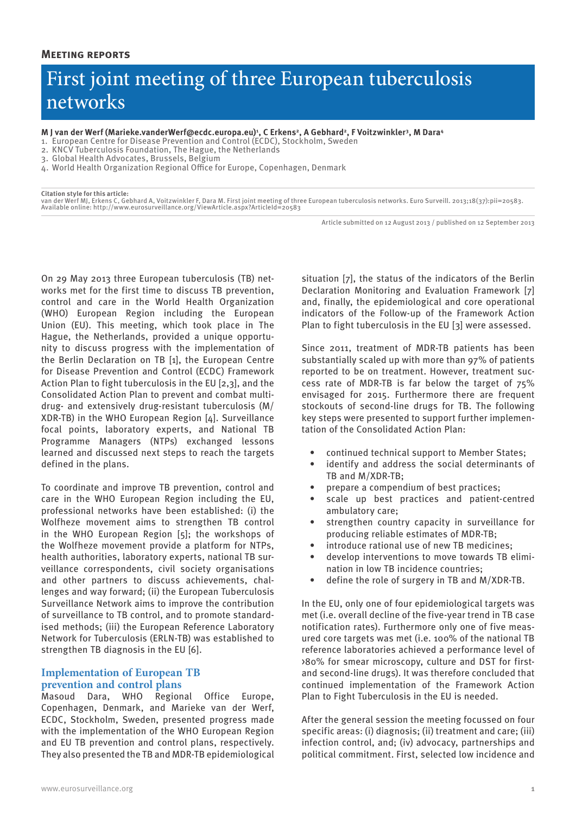# First joint meeting of three European tuberculosis networks

**M J van der Werf (Marieke.vanderWerf@ecdc.europa.eu)1 , C Erkens2, A Gebhard2, F Voitzwinkler3, M Dara4**

- 1. European Centre for Disease Prevention and Control (ECDC), Stockholm, Sweden
- 2. KNCV Tuberculosis Foundation, The Hague, the Netherlands
- 3. Global Health Advocates, Brussels, Belgium

4. World Health Organization Regional Office for Europe, Copenhagen, Denmark

**Citation style for this article:** van der Werf MJ, Erkens C, Gebhard A, Voitzwinkler F, Dara M. First joint meeting of three European tuberculosis networks. Euro Surveill. 2013;18(37):pii=20583. Available online: http://www.eurosurveillance.org/ViewArticle.aspx?ArticleId=20583

Article submitted on 12 August 2013 / published on 12 September 2013

On 29 May 2013 three European tuberculosis (TB) networks met for the first time to discuss TB prevention, control and care in the World Health Organization (WHO) European Region including the European Union (EU). This meeting, which took place in The Hague, the Netherlands, provided a unique opportunity to discuss progress with the implementation of the Berlin Declaration on TB [1], the European Centre for Disease Prevention and Control (ECDC) Framework Action Plan to fight tuberculosis in the EU [2,3], and the Consolidated Action Plan to prevent and combat multidrug- and extensively drug-resistant tuberculosis (M/ XDR-TB) in the WHO European Region [4]. Surveillance focal points, laboratory experts, and National TB Programme Managers (NTPs) exchanged lessons learned and discussed next steps to reach the targets defined in the plans.

To coordinate and improve TB prevention, control and care in the WHO European Region including the EU, professional networks have been established: (i) the Wolfheze movement aims to strengthen TB control in the WHO European Region [5]; the workshops of the Wolfheze movement provide a platform for NTPs, health authorities, laboratory experts, national TB surveillance correspondents, civil society organisations and other partners to discuss achievements, challenges and way forward; (ii) the European Tuberculosis Surveillance Network aims to improve the contribution of surveillance to TB control, and to promote standardised methods; (iii) the European Reference Laboratory Network for Tuberculosis (ERLN-TB) was established to strengthen TB diagnosis in the EU [6].

## **Implementation of European TB prevention and control plans**

Masoud Dara, WHO Regional Office Europe, Copenhagen, Denmark, and Marieke van der Werf, ECDC, Stockholm, Sweden, presented progress made with the implementation of the WHO European Region and EU TB prevention and control plans, respectively. They also presented the TB and MDR-TB epidemiological situation [7], the status of the indicators of the Berlin Declaration Monitoring and Evaluation Framework [7] and, finally, the epidemiological and core operational indicators of the Follow-up of the Framework Action Plan to fight tuberculosis in the EU [3] were assessed.

Since 2011, treatment of MDR-TB patients has been substantially scaled up with more than 97% of patients reported to be on treatment. However, treatment success rate of MDR-TB is far below the target of 75% envisaged for 2015. Furthermore there are frequent stockouts of second-line drugs for TB. The following key steps were presented to support further implementation of the Consolidated Action Plan:

- continued technical support to Member States;
- identify and address the social determinants of TB and M/XDR-TB;
- prepare a compendium of best practices;
- scale up best practices and patient-centred ambulatory care;
- strengthen country capacity in surveillance for producing reliable estimates of MDR-TB;
- introduce rational use of new TB medicines;
- develop interventions to move towards TB elimination in low TB incidence countries;
- define the role of surgery in TB and M/XDR-TB.

In the EU, only one of four epidemiological targets was met (i.e. overall decline of the five-year trend in TB case notification rates). Furthermore only one of five measured core targets was met (i.e. 100% of the national TB reference laboratories achieved a performance level of >80% for smear microscopy, culture and DST for firstand second-line drugs). It was therefore concluded that continued implementation of the Framework Action Plan to Fight Tuberculosis in the EU is needed.

After the general session the meeting focussed on four specific areas: (i) diagnosis; (ii) treatment and care; (iii) infection control, and; (iv) advocacy, partnerships and political commitment. First, selected low incidence and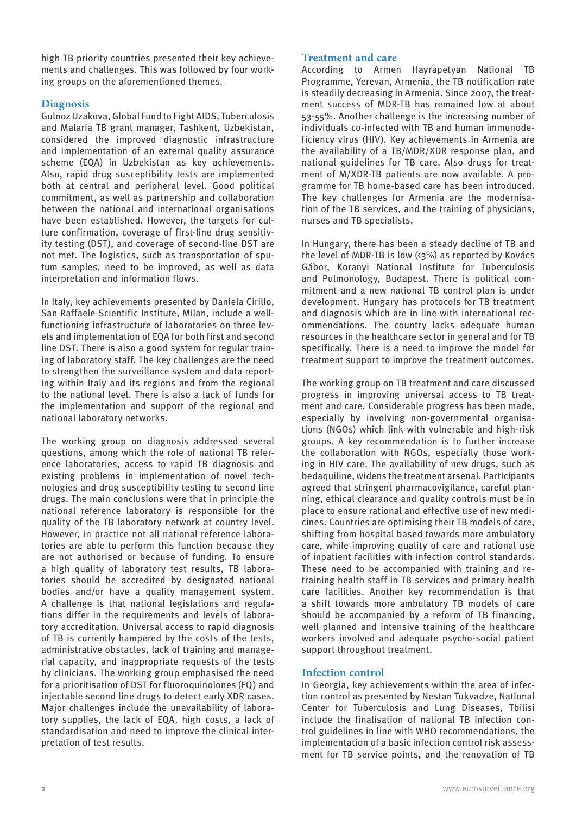high TB priority countries presented their key achievements and challenges. This was followed by four working groups on the aforementioned themes.

# **Diagnosis**

Gulnoz Uzakova, Global Fund to Fight AIDS, Tuberculosis and Malaria TB grant manager, Tashkent, Uzbekistan, considered the improved diagnostic infrastructure and implementation of an external quality assurance scheme (EQA) in Uzbekistan as key achievements. Also, rapid drug susceptibility tests are implemented both at central and peripheral level. Good political commitment, as well as partnership and collaboration between the national and international organisations have been established. However, the targets for culture confirmation, coverage of first-line drug sensitivity testing (DST), and coverage of second-line DST are not met. The logistics, such as transportation of sputum samples, need to be improved, as well as data interpretation and information flows.

In Italy, key achievements presented by Daniela Cirillo, San Raffaele Scientific Institute, Milan, include a wellfunctioning infrastructure of laboratories on three levels and implementation of EQA for both first and second line DST. There is also a good system for regular training of laboratory staff. The key challenges are the need to strengthen the surveillance system and data reporting within Italy and its regions and from the regional to the national level. There is also a lack of funds for the implementation and support of the regional and national laboratory networks.

The working group on diagnosis addressed several questions, among which the role of national TB reference laboratories, access to rapid TB diagnosis and existing problems in implementation of novel technologies and drug susceptibility testing to second line drugs. The main conclusions were that in principle the national reference laboratory is responsible for the quality of the TB laboratory network at country level. However, in practice not all national reference laboratories are able to perform this function because they are not authorised or because of funding. To ensure a high quality of laboratory test results, TB laboratories should be accredited by designated national bodies and/or have a quality management system. A challenge is that national legislations and regulations differ in the requirements and levels of laboratory accreditation. Universal access to rapid diagnosis of TB is currently hampered by the costs of the tests, administrative obstacles, lack of training and managerial capacity, and inappropriate requests of the tests by clinicians. The working group emphasised the need for a prioritisation of DST for fluoroquinolones (FQ) and injectable second line drugs to detect early XDR cases. Major challenges include the unavailability of laboratory supplies, the lack of EQA, high costs, a lack of standardisation and need to improve the clinical interpretation of test results.

# **Treatment and care**

According to Armen Hayrapetyan National TB Programme, Yerevan, Armenia, the TB notification rate is steadily decreasing in Armenia. Since 2007, the treatment success of MDR-TB has remained low at about 53-55%. Another challenge is the increasing number of individuals co-infected with TB and human immunodeficiency virus (HIV). Key achievements in Armenia are the availability of a TB/MDR/XDR response plan, and national guidelines for TB care. Also drugs for treatment of M/XDR-TB patients are now available. A programme for TB home-based care has been introduced. The key challenges for Armenia are the modernisation of the TB services, and the training of physicians, nurses and TB specialists.

In Hungary, there has been a steady decline of TB and the level of MDR-TB is low  $(3\%)$  as reported by Kovács Gábor, Koranyi National Institute for Tuberculosis and Pulmonology, Budapest. There is political commitment and a new national TB control plan is under development. Hungary has protocols for TB treatment and diagnosis which are in line with international recommendations. The country lacks adequate human resources in the healthcare sector in general and for TB specifically. There is a need to improve the model for treatment support to improve the treatment outcomes.

The working group on TB treatment and care discussed progress in improving universal access to TB treatment and care. Considerable progress has been made, especially by involving non-governmental organisations (NGOs) which link with vulnerable and high-risk groups. A key recommendation is to further increase the collaboration with NGOs, especially those working in HIV care. The availability of new drugs, such as bedaquiline, widens the treatment arsenal. Participants agreed that stringent pharmacovigilance, careful planning, ethical clearance and quality controls must be in place to ensure rational and effective use of new medicines. Countries are optimising their TB models of care, shifting from hospital based towards more ambulatory care, while improving quality of care and rational use of inpatient facilities with infection control standards. These need to be accompanied with training and retraining health staff in TB services and primary health care facilities. Another key recommendation is that a shift towards more ambulatory TB models of care should be accompanied by a reform of TB financing, well planned and intensive training of the healthcare workers involved and adequate psycho-social patient support throughout treatment.

# **Infection control**

In Georgia, key achievements within the area of infection control as presented by Nestan Tukvadze, National Center for Tuberculosis and Lung Diseases, Tbilisi include the finalisation of national TB infection control guidelines in line with WHO recommendations, the implementation of a basic infection control risk assessment for TB service points, and the renovation of TB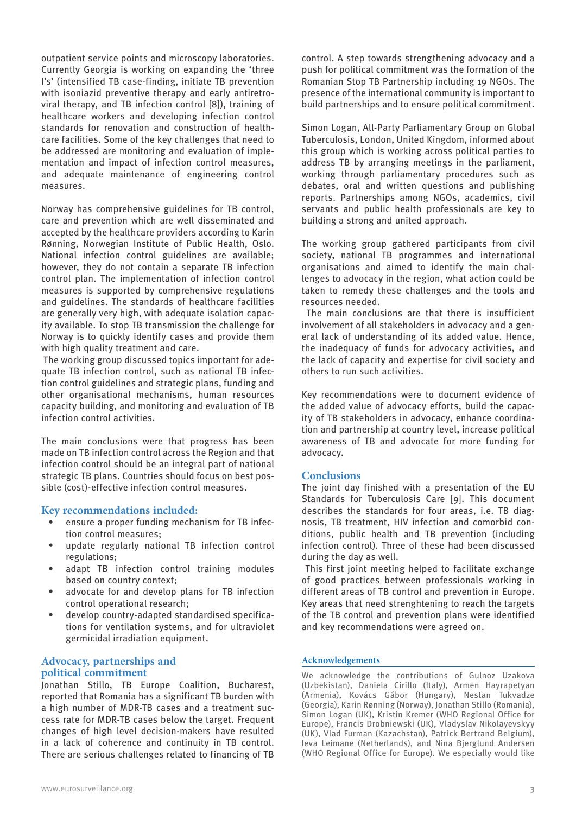outpatient service points and microscopy laboratories. Currently Georgia is working on expanding the 'three I's' (intensified TB case-finding, initiate TB prevention with isoniazid preventive therapy and early antiretroviral therapy, and TB infection control [8]), training of healthcare workers and developing infection control standards for renovation and construction of healthcare facilities. Some of the key challenges that need to be addressed are monitoring and evaluation of implementation and impact of infection control measures, and adequate maintenance of engineering control measures.

Norway has comprehensive guidelines for TB control, care and prevention which are well disseminated and accepted by the healthcare providers according to Karin Rønning, Norwegian Institute of Public Health, Oslo. National infection control guidelines are available; however, they do not contain a separate TB infection control plan. The implementation of infection control measures is supported by comprehensive regulations and guidelines. The standards of healthcare facilities are generally very high, with adequate isolation capacity available. To stop TB transmission the challenge for Norway is to quickly identify cases and provide them with high quality treatment and care.

 The working group discussed topics important for adequate TB infection control, such as national TB infection control guidelines and strategic plans, funding and other organisational mechanisms, human resources capacity building, and monitoring and evaluation of TB infection control activities.

The main conclusions were that progress has been made on TB infection control across the Region and that infection control should be an integral part of national strategic TB plans. Countries should focus on best possible (cost)-effective infection control measures.

## **Key recommendations included:**

- ensure a proper funding mechanism for TB infection control measures;
- update regularly national TB infection control regulations;
- adapt TB infection control training modules based on country context;
- advocate for and develop plans for TB infection control operational research;
- develop country-adapted standardised specifications for ventilation systems, and for ultraviolet germicidal irradiation equipment.

## **Advocacy, partnerships and political commitment**

Jonathan Stillo, TB Europe Coalition, Bucharest, reported that Romania has a significant TB burden with a high number of MDR-TB cases and a treatment success rate for MDR-TB cases below the target. Frequent changes of high level decision-makers have resulted in a lack of coherence and continuity in TB control. There are serious challenges related to financing of TB control. A step towards strengthening advocacy and a push for political commitment was the formation of the Romanian Stop TB Partnership including 19 NGOs. The presence of the international community is important to build partnerships and to ensure political commitment.

Simon Logan, All-Party Parliamentary Group on Global Tuberculosis, London, United Kingdom, informed about this group which is working across political parties to address TB by arranging meetings in the parliament, working through parliamentary procedures such as debates, oral and written questions and publishing reports. Partnerships among NGOs, academics, civil servants and public health professionals are key to building a strong and united approach.

The working group gathered participants from civil society, national TB programmes and international organisations and aimed to identify the main challenges to advocacy in the region, what action could be taken to remedy these challenges and the tools and resources needed.

 The main conclusions are that there is insufficient involvement of all stakeholders in advocacy and a general lack of understanding of its added value. Hence, the inadequacy of funds for advocacy activities, and the lack of capacity and expertise for civil society and others to run such activities.

Key recommendations were to document evidence of the added value of advocacy efforts, build the capacity of TB stakeholders in advocacy, enhance coordination and partnership at country level, increase political awareness of TB and advocate for more funding for advocacy.

## **Conclusions**

The joint day finished with a presentation of the EU Standards for Tuberculosis Care [9]. This document describes the standards for four areas, i.e. TB diagnosis, TB treatment, HIV infection and comorbid conditions, public health and TB prevention (including infection control). Three of these had been discussed during the day as well.

 This first joint meeting helped to facilitate exchange of good practices between professionals working in different areas of TB control and prevention in Europe. Key areas that need strenghtening to reach the targets of the TB control and prevention plans were identified and key recommendations were agreed on.

#### **Acknowledgements**

We acknowledge the contributions of Gulnoz Uzakova (Uzbekistan), Daniela Cirillo (Italy), Armen Hayrapetyan (Armenia), Kovács Gábor (Hungary), Nestan Tukvadze (Georgia), Karin Rønning (Norway), Jonathan Stillo (Romania), Simon Logan (UK), Kristin Kremer (WHO Regional Office for Europe), Francis Drobniewski (UK), Vladyslav Nikolayevskyy (UK), Vlad Furman (Kazachstan), Patrick Bertrand Belgium), Ieva Leimane (Netherlands), and Nina Bjerglund Andersen (WHO Regional Office for Europe). We especially would like